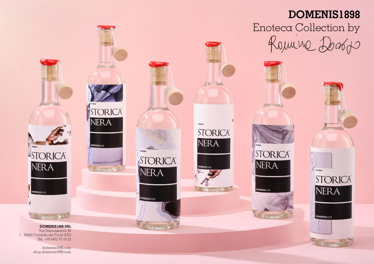# **DOMENIS1898**



**STORICA®** 

NERA

DOMENIS1898





domenis1898.com shop.domenis1898.com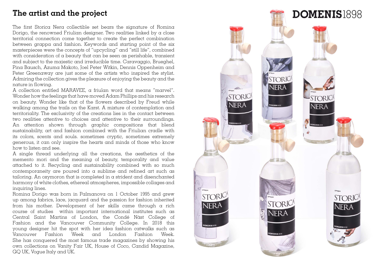# **The artist and the project**

The first Storica Nera collectible set bears the signature of Romina Dorigo, the renowned Friulian designer. Two realities linked by  $\alpha$  close territorial connection come together to create the perfect combination between grappa and fashion. Keywords and starting point of the six masterpieces were the concepts of "upcycling" and "still life", combined with consideration of a beauty that can be seen as perishable, transient and subject to the majestic and irreducible time. Caravaggio, Brueghel, Pina Bausch, Azuma Makoto, Joel Peter Witkin, Dennis Oppenheim and Peter Greenaway are just some of the artists who inspired the stylist. Admiring the collection gives the pleasure of enjoying the beauty and the nature in flowing.

A collection entitled MARAVEE, a friulan word that means "marvel". Wonder how the feelings that have moved Adam Phillips and his research on beauty. Wonder like that of the flowers described by Freud while walking among the trails on the Karst. A mixture of contemplation and territoriality. The exclusivity of the creations lies in the contact between two realities attentive to choices and attentive to their surroundings. An attention shown through graphic compositions that blend sustainability, art and fashion combined with the Friulian cradle with its colors, scents and souls. sometimes cryptic, sometimes extremely generous, it can only inspire the hearts and minds of those who know how to listen and see.

A single thread underlying all the creations, the aesthetics of the memento mori and the meaning of beauty, temporality and value attached to it. Recycling and sustainability combined with so much contemporaneity are poured into a sublime and refined art such as tailoring. An oxymoron that is completed in a strident and disenchanted harmony of white clothes, ethereal atmospheres, impossible collages and inquiring lines.

Romina Dorigo was born in Palmanova on 1 October 1995 and grew up among fabrics, lace, jacquard and the passion for fashion inherited from his mother. Development of her skills came through a rich course of studies within important international institutes such as Central Saint Martins of London, the Condé Nàst College of Fashion and the Vancouver Community College. In 2018 this young designer hit the spot with her idea fashion catwalks such as Vancouver Fashion Week and London Fashion Week. She has conquered the most famous trade magazines by showing his own collections on Vanity Fair UK, House of Coco, Candid Magazine, GQ UK, Vogue Italy and UK.